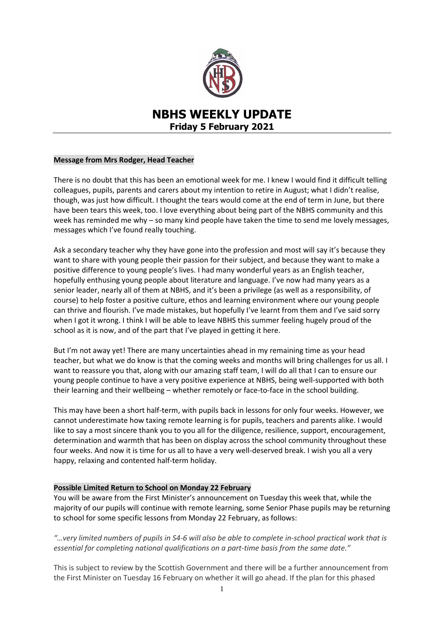

# **NBHS WEEKLY UPDATE Friday 5 February 2021**

# **Message from Mrs Rodger, Head Teacher**

There is no doubt that this has been an emotional week for me. I knew I would find it difficult telling colleagues, pupils, parents and carers about my intention to retire in August; what I didn't realise, though, was just how difficult. I thought the tears would come at the end of term in June, but there have been tears this week, too. I love everything about being part of the NBHS community and this week has reminded me why – so many kind people have taken the time to send me lovely messages, messages which I've found really touching.

Ask a secondary teacher why they have gone into the profession and most will say it's because they want to share with young people their passion for their subject, and because they want to make a positive difference to young people's lives. I had many wonderful years as an English teacher, hopefully enthusing young people about literature and language. I've now had many years as a senior leader, nearly all of them at NBHS, and it's been a privilege (as well as a responsibility, of course) to help foster a positive culture, ethos and learning environment where our young people can thrive and flourish. I've made mistakes, but hopefully I've learnt from them and I've said sorry when I got it wrong. I think I will be able to leave NBHS this summer feeling hugely proud of the school as it is now, and of the part that I've played in getting it here.

But I'm not away yet! There are many uncertainties ahead in my remaining time as your head teacher, but what we do know is that the coming weeks and months will bring challenges for us all. I want to reassure you that, along with our amazing staff team, I will do all that I can to ensure our young people continue to have a very positive experience at NBHS, being well-supported with both their learning and their wellbeing – whether remotely or face-to-face in the school building.

This may have been a short half-term, with pupils back in lessons for only four weeks. However, we cannot underestimate how taxing remote learning is for pupils, teachers and parents alike. I would like to say a most sincere thank you to you all for the diligence, resilience, support, encouragement, determination and warmth that has been on display across the school community throughout these four weeks. And now it is time for us all to have a very well-deserved break. I wish you all a very happy, relaxing and contented half-term holiday.

### **Possible Limited Return to School on Monday 22 February**

You will be aware from the First Minister's announcement on Tuesday this week that, while the majority of our pupils will continue with remote learning, some Senior Phase pupils may be returning to school for some specific lessons from Monday 22 February, as follows:

*"…very limited numbers of pupils in S4-6 will also be able to complete in-school practical work that is essential for completing national qualifications on a part-time basis from the same date."*

This is subject to review by the Scottish Government and there will be a further announcement from the First Minister on Tuesday 16 February on whether it will go ahead. If the plan for this phased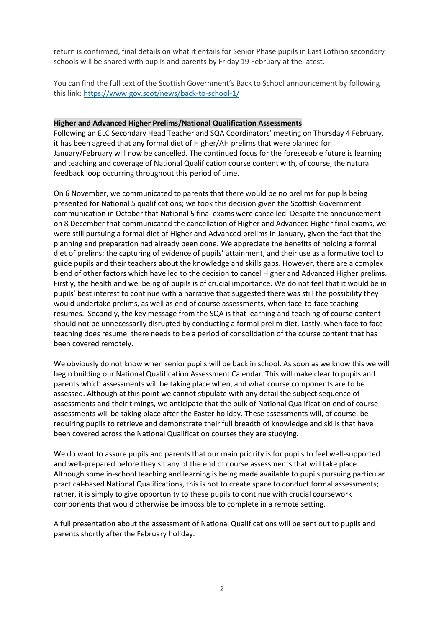return is confirmed, final details on what it entails for Senior Phase pupils in East Lothian secondary schools will be shared with pupils and parents by Friday 19 February at the latest.

You can find the full text of the Scottish Government's Back to School announcement by following this link: <https://www.gov.scot/news/back-to-school-1/>

#### **Higher and Advanced Higher Prelims/National Qualification Assessments**

Following an ELC Secondary Head Teacher and SQA Coordinators' meeting on Thursday 4 February, it has been agreed that any formal diet of Higher/AH prelims that were planned for January/February will now be cancelled. The continued focus for the foreseeable future is learning and teaching and coverage of National Qualification course content with, of course, the natural feedback loop occurring throughout this period of time.

On 6 November, we communicated to parents that there would be no prelims for pupils being presented for National 5 qualifications; we took this decision given the Scottish Government communication in October that National 5 final exams were cancelled. Despite the announcement on 8 December that communicated the cancellation of Higher and Advanced Higher final exams, we were still pursuing a formal diet of Higher and Advanced prelims in January, given the fact that the planning and preparation had already been done. We appreciate the benefits of holding a formal diet of prelims: the capturing of evidence of pupils' attainment, and their use as a formative tool to guide pupils and their teachers about the knowledge and skills gaps. However, there are a complex blend of other factors which have led to the decision to cancel Higher and Advanced Higher prelims. Firstly, the health and wellbeing of pupils is of crucial importance. We do not feel that it would be in pupils' best interest to continue with a narrative that suggested there was still the possibility they would undertake prelims, as well as end of course assessments, when face-to-face teaching resumes. Secondly, the key message from the SQA is that learning and teaching of course content should not be unnecessarily disrupted by conducting a formal prelim diet. Lastly, when face to face teaching does resume, there needs to be a period of consolidation of the course content that has been covered remotely.

We obviously do not know when senior pupils will be back in school. As soon as we know this we will begin building our National Qualification Assessment Calendar. This will make clear to pupils and parents which assessments will be taking place when, and what course components are to be assessed. Although at this point we cannot stipulate with any detail the subject sequence of assessments and their timings, we anticipate that the bulk of National Qualification end of course assessments will be taking place after the Easter holiday. These assessments will, of course, be requiring pupils to retrieve and demonstrate their full breadth of knowledge and skills that have been covered across the National Qualification courses they are studying.

We do want to assure pupils and parents that our main priority is for pupils to feel well-supported and well-prepared before they sit any of the end of course assessments that will take place. Although some in-school teaching and learning is being made available to pupils pursuing particular practical-based National Qualifications, this is not to create space to conduct formal assessments; rather, it is simply to give opportunity to these pupils to continue with crucial coursework components that would otherwise be impossible to complete in a remote setting.

A full presentation about the assessment of National Qualifications will be sent out to pupils and parents shortly after the February holiday.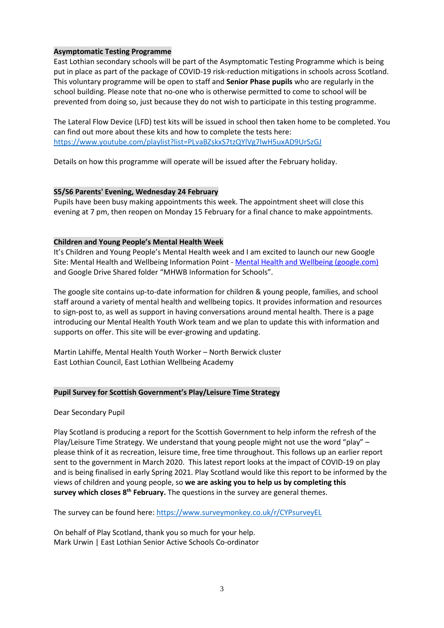# **Asymptomatic Testing Programme**

East Lothian secondary schools will be part of the Asymptomatic Testing Programme which is being put in place as part of the package of COVID-19 risk-reduction mitigations in schools across Scotland. This voluntary programme will be open to staff and **Senior Phase pupils** who are regularly in the school building. Please note that no-one who is otherwise permitted to come to school will be prevented from doing so, just because they do not wish to participate in this testing programme.

The Lateral Flow Device (LFD) test kits will be issued in school then taken home to be completed. You can find out more about these kits and how to complete the tests here: <https://www.youtube.com/playlist?list=PLvaBZskxS7tzQYlVg7lwH5uxAD9UrSzGJ>

Details on how this programme will operate will be issued after the February holiday.

# **S5/S6 Parents' Evening, Wednesday 24 February**

Pupils have been busy making appointments this week. The appointment sheet will close this evening at 7 pm, then reopen on Monday 15 February for a final chance to make appointments.

# **Children and Young People's Mental Health Week**

It's Children and Young People's Mental Health week and I am excited to launch our new Google Site: Mental Health and Wellbeing Information Point - [Mental Health and Wellbeing \(google.com\)](https://sites.google.com/edubuzz.org/mhwb-information-point/home) and Google Drive Shared folder "MHWB Information for Schools".

The google site contains up-to-date information for children & young people, families, and school staff around a variety of mental health and wellbeing topics. It provides information and resources to sign-post to, as well as support in having conversations around mental health. There is a page introducing our Mental Health Youth Work team and we plan to update this with information and supports on offer. This site will be ever-growing and updating.

Martin Lahiffe, Mental Health Youth Worker – North Berwick cluster East Lothian Council, East Lothian Wellbeing Academy

### **Pupil Survey for Scottish Government's Play/Leisure Time Strategy**

Dear Secondary Pupil

Play Scotland is producing a report for the Scottish Government to help inform the refresh of the Play/Leisure Time Strategy. We understand that young people might not use the word "play" – please think of it as recreation, leisure time, free time throughout. This follows up an earlier report sent to the government in March 2020. This latest report looks at the impact of COVID-19 on play and is being finalised in early Spring 2021. Play Scotland would like this report to be informed by the views of children and young people, so **we are asking you to help us by completing this survey which closes 8th February.** The questions in the survey are general themes.

The survey can be found here: <https://www.surveymonkey.co.uk/r/CYPsurveyEL>

On behalf of Play Scotland, thank you so much for your help. Mark Urwin | East Lothian Senior Active Schools Co-ordinator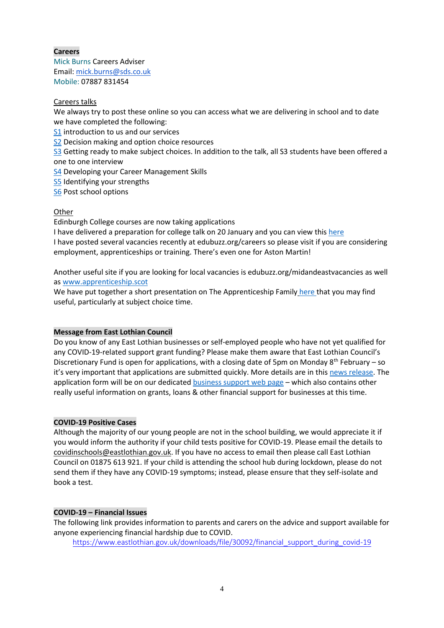# **Careers**

Mick Burns Careers Adviser Email: [mick.burns@sds.co.uk](https://mail.elcschool.org.uk/owa/redir.aspx?C=fbGa3DGVrsUoQB2CnJP23eXwMGzxu7J1CtarT6dTOwkq_NlpJujXCA..&URL=mailto%3amick.burns%40sds.co.uk) Mobile: 07887 831454

# Careers talks

We always try to post these online so you can access what we are delivering in school and to date we have completed the following:

[S1](https://www.edubuzz.org/careers/2020/08/17/s1-2020/) introduction to us and our services

S<sub>2</sub> Decision making and option choice resources

[S3](https://www.edubuzz.org/careers/2020/06/03/s3-june-2020/) Getting ready to make subject choices. In addition to the talk, all S3 students have been offered a one to one interview

**[S4](https://www.edubuzz.org/careers/2021/02/02/s4-careers-talk-february-2021/)** Developing your Career Management Skills

[S5](https://www.edubuzz.org/careers/2020/07/28/s5-careers-talk-2020/) Identifying your strengths

[S6](https://www.edubuzz.org/careers/2020/05/26/nbhs-s6-careers-talk-june-2020/) Post school options

### **Other**

Edinburgh College courses are now taking applications

I have delivered a preparation for college talk on 20 January and you can view thi[s here](https://www.edubuzz.org/careers/2017/12/06/applying-for-college-2018/) I have posted several vacancies recently at edubuzz.org/careers so please visit if you are considering employment, apprenticeships or training. There's even one for Aston Martin!

Another useful site if you are looking for local vacancies is edubuzz.org/midandeastvacancies as well as [www.apprenticeship.scot](http://www.apprenticeship.scot/)

We have put together a short presentation on The Apprenticeship Family [here](https://www.edubuzz.org/careers/2021/01/21/apprenticeship-family/) that you may find useful, particularly at subject choice time.

### **Message from East Lothian Council**

Do you know of any East Lothian businesses or self-employed people who have not yet qualified for any COVID-19-related support grant funding? Please make them aware that East Lothian Council's Discretionary Fund is open for applications, with a closing date of 5pm on Monday  $8<sup>th</sup>$  February – so it's very important that applications are submitted quickly. More details are in this [news release.](https://www.eastlothian.gov.uk/news/article/13469/discretionary_grant_funding_for_businesses_launching_this_week) The application form will be on our dedicated [business support web page](http://www.eastlothian.gov.uk/supportgrants) – which also contains other really useful information on grants, loans & other financial support for businesses at this time.

### **COVID-19 Positive Cases**

Although the majority of our young people are not in the school building, we would appreciate it if you would inform the authority if your child tests positive for COVID-19. Please email the details to [covidinschools@eastlothian.gov.uk.](mailto:covidinschools@eastlothian.gov.uk) If you have no access to email then please call East Lothian Council on 01875 613 921. If your child is attending the school hub during lockdown, please do not send them if they have any COVID-19 symptoms; instead, please ensure that they self-isolate and book a test.

# **COVID-19 – Financial Issues**

The following link provides information to parents and carers on the advice and support available for anyone experiencing financial hardship due to COVID.

[https://www.eastlothian.gov.uk/downloads/file/30092/financial\\_support\\_during\\_covid-19](https://www.eastlothian.gov.uk/downloads/file/30092/financial_support_during_covid-19)